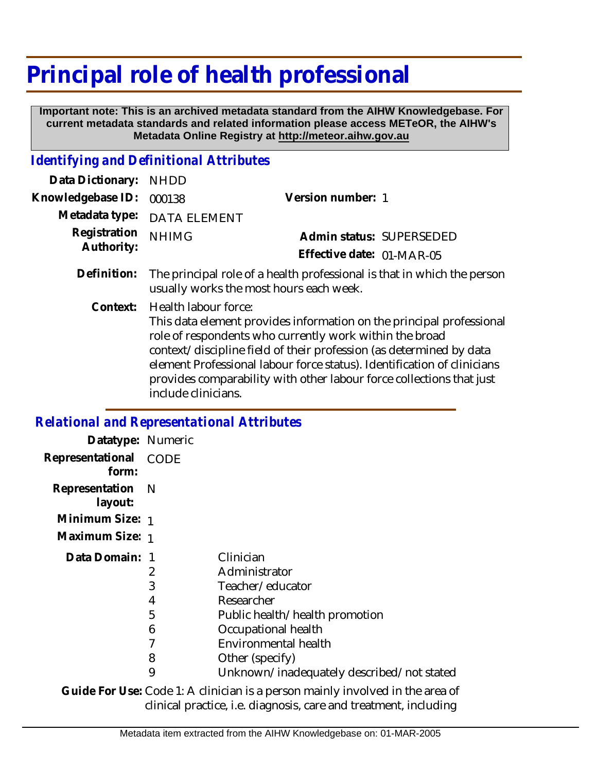## **Principal role of health professional**

 **Important note: This is an archived metadata standard from the AIHW Knowledgebase. For current metadata standards and related information please access METeOR, the AIHW's Metadata Online Registry at http://meteor.aihw.gov.au**

## *Identifying and Definitional Attributes*

| Data Dictionary:           | <b>NHDD</b>                                                                                                                                                                                                                                                                                                                                                                                              |                           |
|----------------------------|----------------------------------------------------------------------------------------------------------------------------------------------------------------------------------------------------------------------------------------------------------------------------------------------------------------------------------------------------------------------------------------------------------|---------------------------|
| Knowledgebase ID:          | 000138                                                                                                                                                                                                                                                                                                                                                                                                   | Version number: 1         |
| Metadata type:             | <b>DATA ELEMENT</b>                                                                                                                                                                                                                                                                                                                                                                                      |                           |
| Registration<br>Authority: | <b>NHIMG</b>                                                                                                                                                                                                                                                                                                                                                                                             | Admin status: SUPERSEDED  |
|                            |                                                                                                                                                                                                                                                                                                                                                                                                          | Effective date: 01-MAR-05 |
| Definition:                | The principal role of a health professional is that in which the person<br>usually works the most hours each week.                                                                                                                                                                                                                                                                                       |                           |
| Context:                   | Health labour force:<br>This data element provides information on the principal professional<br>role of respondents who currently work within the broad<br>context/discipline field of their profession (as determined by data<br>element Professional labour force status). Identification of clinicians<br>provides comparability with other labour force collections that just<br>include clinicians. |                           |

## *Relational and Representational Attributes*

| Datatype: Numeric           |             |                                           |
|-----------------------------|-------------|-------------------------------------------|
| Representational<br>form:   | <b>CODE</b> |                                           |
| Representation N<br>layout: |             |                                           |
| Minimum Size: 1             |             |                                           |
| Maximum Size: 1             |             |                                           |
| Data Domain: 1              |             | Clinician                                 |
|                             | 2           | Administrator                             |
|                             | 3           | Teacher/educator                          |
|                             | 4           | Researcher                                |
|                             | 5           | Public health/health promotion            |
|                             | 6           | Occupational health                       |
|                             |             | Environmental health                      |
|                             | 8           | Other (specify)                           |
|                             | 9           | Unknown/inadequately described/not stated |
|                             |             |                                           |

Guide For Use: Code 1: A clinician is a person mainly involved in the area of clinical practice, i.e. diagnosis, care and treatment, including